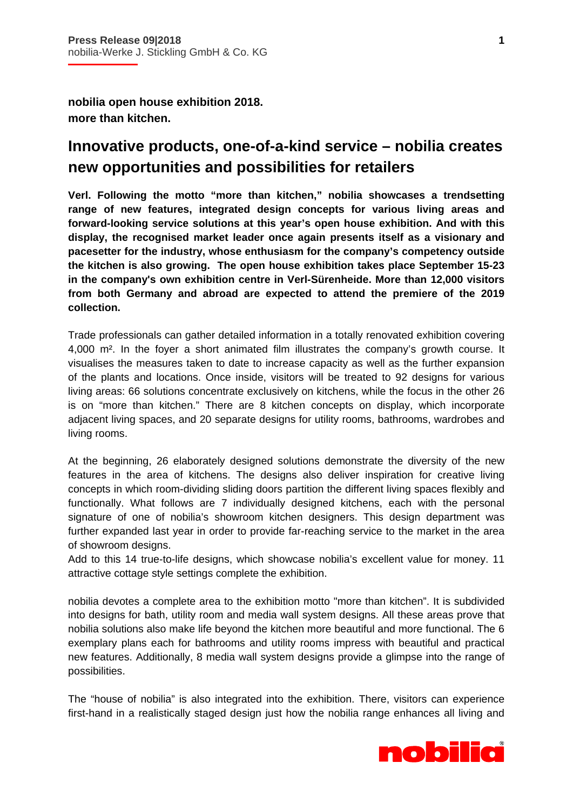**nobilia open house exhibition 2018. more than kitchen.** 

## **Innovative products, one-of-a-kind service – nobilia creates new opportunities and possibilities for retailers**

**Verl. Following the motto "more than kitchen," nobilia showcases a trendsetting range of new features, integrated design concepts for various living areas and forward-looking service solutions at this year's open house exhibition. And with this display, the recognised market leader once again presents itself as a visionary and pacesetter for the industry, whose enthusiasm for the company's competency outside the kitchen is also growing. The open house exhibition takes place September 15-23 in the company's own exhibition centre in Verl-Sürenheide. More than 12,000 visitors from both Germany and abroad are expected to attend the premiere of the 2019 collection.** 

Trade professionals can gather detailed information in a totally renovated exhibition covering 4,000 m². In the foyer a short animated film illustrates the company's growth course. It visualises the measures taken to date to increase capacity as well as the further expansion of the plants and locations. Once inside, visitors will be treated to 92 designs for various living areas: 66 solutions concentrate exclusively on kitchens, while the focus in the other 26 is on "more than kitchen." There are 8 kitchen concepts on display, which incorporate adjacent living spaces, and 20 separate designs for utility rooms, bathrooms, wardrobes and living rooms.

At the beginning, 26 elaborately designed solutions demonstrate the diversity of the new features in the area of kitchens. The designs also deliver inspiration for creative living concepts in which room-dividing sliding doors partition the different living spaces flexibly and functionally. What follows are 7 individually designed kitchens, each with the personal signature of one of nobilia's showroom kitchen designers. This design department was further expanded last year in order to provide far-reaching service to the market in the area of showroom designs.

Add to this 14 true-to-life designs, which showcase nobilia's excellent value for money. 11 attractive cottage style settings complete the exhibition.

nobilia devotes a complete area to the exhibition motto "more than kitchen". It is subdivided into designs for bath, utility room and media wall system designs. All these areas prove that nobilia solutions also make life beyond the kitchen more beautiful and more functional. The 6 exemplary plans each for bathrooms and utility rooms impress with beautiful and practical new features. Additionally, 8 media wall system designs provide a glimpse into the range of possibilities.

The "house of nobilia" is also integrated into the exhibition. There, visitors can experience first-hand in a realistically staged design just how the nobilia range enhances all living and